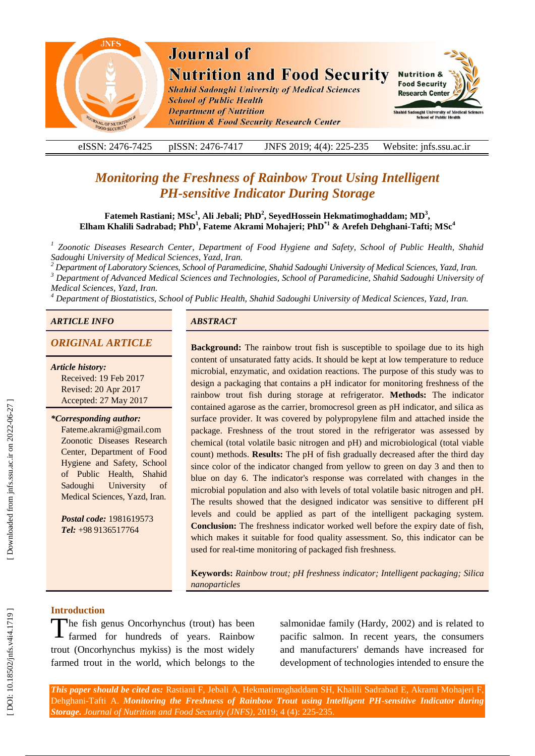

eISSN: 2476-7425 pISSN: 2476-7417 -7417 JNFS 201 9; 4 ( 4): 225 Website: jnfs.ssu.ac.ir

# *Monitoring the Freshness of Rainbow Trout Using Intelligent PH-sensitive Indicator During Storage*

 ${\bf Factor}$  Fatemeh Rastiani;  ${\bf MSc^1},$  Ali Jebali;  ${\bf PhD^2},$  SeyedHossein Hekmatimoghaddam;  ${\bf MD^3},$ **Elham Khalili Sadrabad; PhD 1 , Fateme Akrami Mohajeri; PhD\*1 & Arefeh Dehghani -Tafti; MSc 4**

<sup>1</sup> Zoonotic Diseases Research Center, Department of Food Hygiene and Safety, School of Public Health, Shahid Sadoughi University of Medical Sciences, Yazd, Iran.<br><sup>2</sup> Department of Laboratory Sciences, School of Paramedicine, Shahid Sadoughi University of Medical Sciences, Yazd, Iran.<br><sup>3</sup> Department of Laboratory Sciences, School

*Medical Sciences, Yazd, Iran. <sup>4</sup> Department of Biostatistics, School of Public Health, Shahid Sadoughi University of Medical Sciences, Yazd, Iran.*

#### *ARTICLE INFO ABSTRACT*

#### **ORIGINAL ARTICLE**

*Article history:*

Received: 19 Feb 201 7 Revised: 20 Apr 201 7 Accepted: 27 May 201 7

#### *\*Corresponding author:*

Fateme.akrami@gmail.com Zoonotic Diseases Research Center, Department of Food Hygiene and Safety, School of Public Health, Shahid Sadoughi University of Medical Sciences, Yazd, Iran.

*Postal code:* 1981619573 *Tel:* +98 9136517764

**Background:** The rainbow trout fish is susceptible to spoilage due to its high content of unsaturated fatty acids. It should be kept at low temperature to reduce microbial, enzymatic, and oxidation reactions. The purpose of this study was to design a packaging that contains a pH indicator for monitoring freshness of the rainbow trout fish during storage at refrigerator. **Methods:** The indicator contained agarose as the carrier, bromocresol green as pH indicator, and silica as surface provider. It was covered by polypropylene film and attached inside the package. Freshness of the trout stored in the refrigerator was assessed by chemical (total volatile basic nitrogen and pH) and microbiological (total viable count) methods. **Results:** The pH of fish gradually decreased after the third day since color of the indicator changed from yellow to green on day 3 and then to blue on day 6. The indicator's response was correlated with changes in the microbial population and also with levels of total volatile basic nitrogen and pH. The results showed that the designed indicator was sensitive to different pH levels and could be applied as part of the intelligent packaging system. **Conclusion:** The freshness indicator worked well before the expiry date of fish, which makes it suitable for food quality assessment. So, this indicator can be used for real -time monitoring of packaged fish freshness.

**Keywords:** *Rainbow trout ; pH freshness indicator ; Intelligent packaging ; Silica nanoparticles*

### **Introduction**

The fish genus Oncorhynchus (trout) has been The fish genus Oncorhynchus (trout) has been<br>farmed for hundreds of years. Rainbow trout (Oncorhynchus mykiss) is the most widely farmed trout in the world, which belong s to the

salmonidae family (Hardy, 2002) and is related to pacific salmon. In recent years, the consumers and manufacturers' demands have increased for development of technologies intended to ensure the

*This paper should be cited as:* Rastiani F, Jebali A, Hekmatimoghaddam SH, Khalili Sadrabad E, Akrami Mohajeri F, Dehghani -Tafti A . *Monitoring the Freshness of Rainbow Trout using Intelligent PH -sensitive Indicator during*  Storage. Journal of Nutrition and Food Security (JNFS), 2019; 4 (4): 225-235.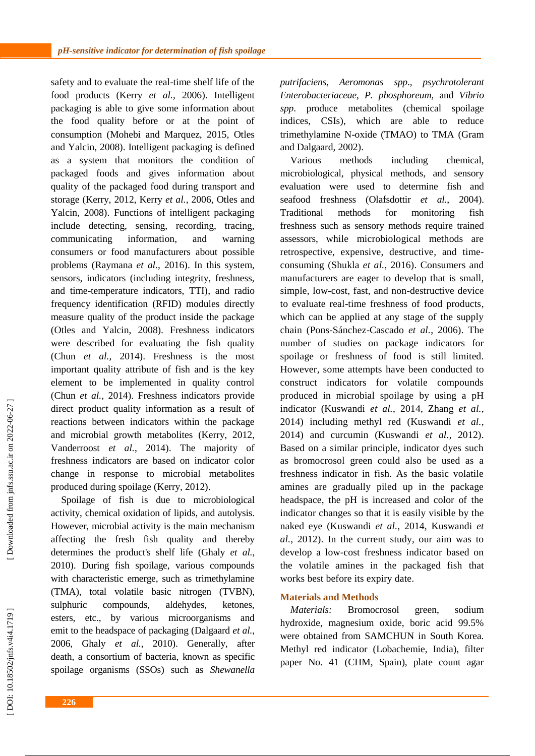safety and to evaluate the real -time shelf life of the food products (Kerry *et al.*, 2006) . Intelligent packaging is able to give some information about the food quality before or at the point of consumption (Mohebi and Marquez, 2015, Otles and Yalcin, 2008). Intelligent packaging is defined as a system that monitors the condition of packaged foods and gives information about quality of the packaged food during transport and storage (Kerry, 2012, Kerry *et al.*, 2006, Otles and Yalcin, 2008). Functions of intelligent packaging include detecting, sensing, recording, tracing, communicating information , and warning consumers or food manufacturers about possible problems (Raymana *et al.*, 2016). In this system, sensors, indicators (including integrity, freshness, and time -temperature indicators, TTI) , and radio frequency identification (RFID) modules directly measure quality of the product inside the package (Otles and Yalcin, 2008). Freshness indicators were described for evaluating the fish quality (Chun *et al.*, 2014). Freshness is the most important quality attribute of fish and is the key element to be implemented in quality control (Chun *et al.*, 2014). Freshness indicators provide direct product quality information as a result of reactions between indicators within the package and microbial growth metabolites (Kerry, 2012, Vanderroost *et al.*, 2014). The majority of freshness indicators are based on indicator color change in response to microbial metabolites produced during spoilage (Kerry, 2012) .

Spoilage of fish is due to microbiological activity, chemical oxidation of lipids , and autolysis. However, microbial activity is the main mechanism affecting the fresh fish quality and thereby determines the product's shelf life (Ghaly *et al.*, 2010). During fish spoilage, various compounds with characteristic emerge, such as trimethylamine (TMA), total volatile basic nitrogen (TVBN ), sulphuric compounds, aldehydes, ketones, esters, etc., by various microorganisms and emit to the headspace of packaging (Dalgaard *et al.*, 2006, Ghaly *et al.*, 2010). Generally, after death, a consortium of bacteria , known as specific spoilage organisms (SSOs) such as *Shewanella* 

*putrifaciens*, *Aeromonas spp*., *psychrotolerant Enterobacteriaceae*, *P. phosphoreum ,* and *Vibrio spp*. produce metabolites (chemical spoilage indices, CSIs) , which are able to reduce trimethylamine N -oxide (TMAO) to TMA (Gram and Dalgaard, 2002 ) .

Various methods including chemical, microbiological, physical methods , and sensory evaluation were used to determine fish and seafood freshness (Olafsdottir *et al.*, 2004). Traditional methods for monitoring fish freshness such as sensory methods require trained assessors, while microbiological methods are retrospective, expensive, destructive , and time consuming (Shukla *et al.*, 2016) . Consumers and manufacturers are eager to develop that is small, simple, low -cost, fast , and non -destructive device to evaluate real -time freshness of food products , which can be applied at any stage of the supply chain (Pons -Sánchez -Cascado *et al.*, 2006) . The number of studies on package indicators for spoilage or freshness of food is still limited. However, some attempts have been conducted to construct indicators for volatile compounds produced in microbial spoilage by using a pH indicator (Kuswandi *et al.*, 2014, Zhang *et al.*, 2014) including methyl red (Kuswandi *et al.*, 2014) and curcumin (Kuswandi *et al.*, 2012). Based on a similar principle, indicator dyes such as bromocrosol green could also be used as a freshness indicator in fish. As the basic volatile amines are gradually piled up in the package headspace, the pH is increased and color of the indicator changes so that it is easily visible by the naked eye (Kuswandi *et al.*, 2014, Kuswandi *et al.*, 2012). In the current study, our aim was to develop a low -cost freshness indicator based on the volatile amines in the packaged fish that works best before its expiry date.

## **Materials and Methods**

*Materials:* Bromocrosol green, sodium hydroxide, magnesium oxide, boric acid 99.5% were obtained from SAMCHUN in South Korea. Methyl red indicator (Lobachemie, India), filter paper No. 41 (CHM, Spain), plate count agar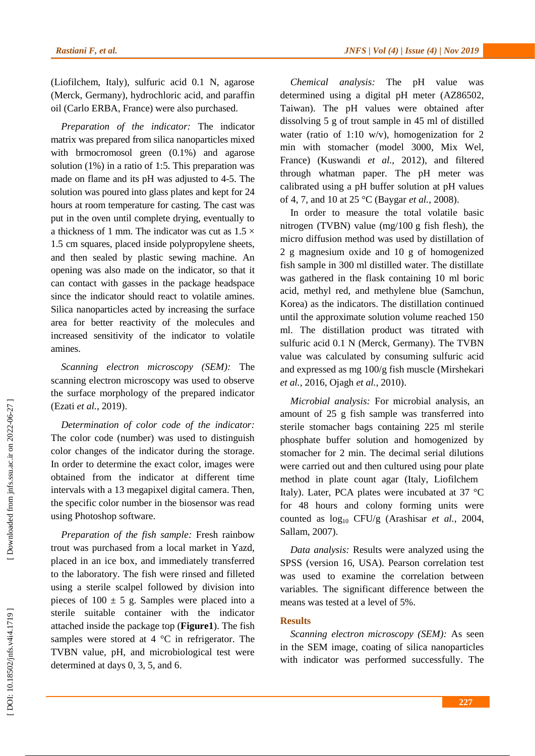(Liofilchem, Italy), sulfuric acid 0.1 N, agarose (Merck, Germany), hydrochloric acid, and paraffin oil (Carlo ERBA, France) were also purchased.

*Preparation of the indicator :* The indicator matrix was prepared from silica nanoparticles mixed with brmocromosol green  $(0.1\%)$  and agarose solution (1%) in a ratio of 1:5. This preparation was made on flame and its pH was adjusted to 4 -5. The solution was poured into glass plates and kept for 24 hours at room temperature for casting. The cast was put in the oven until complete drying, eventually to a thickness of 1 mm. The indicator was cut as  $1.5 \times$ 1.5 cm squares, placed inside polypropylene sheets, and then sealed by plastic sewing machine. An opening was also made on the indicator, so that it can contact with gasses in the package headspace since the indicator should react to volatile amines. Silica nanoparticles acted by increasing the surface area for better reactivity of the molecules and increased sensitivity of the indicator to volatile amines.

*Scanning electron microscopy (SEM) :* The scanning electron microscopy was used to observe the surface morphology of the prepared indicator (Ezati *et al.*, 2019) .

*Determination of color code of the indicator:*  The color code (number) was used to distinguish color changes of the indicator during the storage. In order to determine the exact color, images were obtained from the indicator at different time intervals with a 13 megapixel digital camera. Then, the specific color number in the biosensor was read using Photoshop software .

*Preparation of the fish sample :* Fresh rainbow trout was purchased from a local market in Yazd, placed in an ice box , and immediately transferred to the laboratory. The fish were rinsed and filleted using a sterile scalpel followed by division into pieces of  $100 \pm 5$  g. Samples were placed into a sterile suitable container with the indicator attached inside the package top (**Figure1**). The fish samples were stored at 4 °C in refrigerator. The TVBN value, pH, and microbiological test were determined at days 0, 3, 5 , and 6.

*Chemical analysis :* The pH value was determined using a digital pH meter (AZ86502, Taiwan). The pH values were obtained after dissolving 5 g of trout sample in 45 m l of distilled water (ratio of 1:10 w/v), homogenization for 2 min with stomacher (model 3000, Mix Wel, France) (Kuswandi *et al.*, 2012) , and filtered through whatman paper. The pH meter was calibrated using a pH buffer solution at pH values of 4, 7 , and 10 at 25 °C (Baygar *et al.*, 2008) .

In order to measure the total volatile basic nitrogen (TVBN) value (mg/100 g fish flesh), the micro diffusion method was used by distillation of 2 g magnesium oxide and 10 g of homogenized fish sample in 300 ml distilled water. The distillate was gathered in the flask containing 10 ml boric acid , methyl red , and methylene blue (Samchun , Korea) as the indicators. The distillation continued until the approximate solution volume reached 150 ml. The distillation product was titrated with sulfuric acid 0.1 N (Merck , Germany). The TVBN value was calculated by consuming sulfuric acid and expressed as mg 100/g fish muscle (Mirshekari *et al.*, 2016, Ojagh *et al.*, 2010) .

*Microbial analysis :* For microbial analysis, an amount of 25 g fish sample was transferred into sterile stomacher bags containing 225 ml sterile phosphate buffer solution and homogenized by stomacher for 2 min. The decimal serial dilutions were carried out and then cultured using pour plate method in plate count agar (Italy, Liofilchem Italy). Later, PCA plates were incubated at 37 °C for 48 hours and colony forming units were counted as  $log_{10}$  CFU/g (Arashisar *et al.*, 2004, Sallam, 2007) .

*Data analysis :* Results were analyzed using the SPSS (version 16, USA). Pearson correlation test was used to examine the correlation between variables. The significant difference between the means was tested at a level of 5%.

#### **Results**

*Scanning electron microscopy (SEM) :* As seen in the SEM image, coating of silica nanoparticles with indicator was performed successfully . The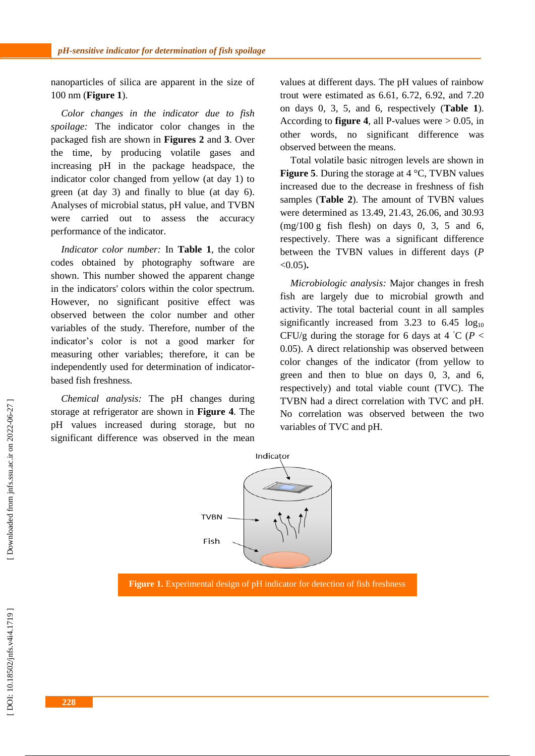nanoparticles of silica are apparent in the size of 100 nm (**Figure 1** ) .

*Color changes in the indicator due to fish spoilage :* The indicator color changes in the packaged fish are shown in **Figures 2** and **3** . Over the time , by producing volatile gases and increasing pH in the package headspace, the indicator color changed from yellow (at day 1) to green (at day 3) and finally to blue (at day 6). Analys es of microbial status, pH value , and TVBN were carried out to assess the accuracy performance of the indicator.

*Indicator color number :* In **Table 1** , the color codes obtained by photography software are shown. This number showed the apparent change in the indicators' colors within the color spectrum. However, no significant positive effect was observed between the color number and other variables of the study. Therefore, number of the indicator's color is not a good marker for measuring other variables; therefore, it can be independently used for determination of indicator based fish freshness.

*Chemical analysis :* The pH changes during storage at refrigerator are shown in **Figure 4**. The pH values increased during storage, but no significant difference was observed in the mean

values at different days. The pH values of rainbow trout were estimated as 6.61, 6.72, 6.92, and 7.20 on days 0, 3, 5, and 6 , respectively (**Table 1**). According to **figure 4**, all P-values were  $> 0.05$ , in other words, no significant difference was observed between the means.

Total volatile basic nitrogen levels are shown in **Figure 5**. During the storage at 4 °C, TVBN values increased due to the decrease in freshness of fish samples ( **Table 2**). The amount of TVBN values were determined as 1 3 .49, 21.43, 26.06, and 30.93  $(mg/100 g$  fish flesh) on days 0, 3, 5 and 6, respectively. There was a significant difference between the TVBN values in different days ( *P* <0.05) **.**

*Microbiologic analysis :* Major changes in fresh fish are largely due to microbial growth and activity. The total bacterial count in all samples significantly increased from  $3.23$  to  $6.45 \log_{10}$ CFU/g during the storage for 6 days at 4  $\degree$ C (*P* < 0.05). A direct relationship was observed between color change s of the indicator (from yellow to green and then to blue on days 0, 3 , and 6, respectively) and total viable count (TVC ) . The TVBN had a direct correlation with TVC and pH. No correlation was observed between the two variables of TVC and pH.



**Figure 1.** Experimental design of pH indicator for detection of fish freshness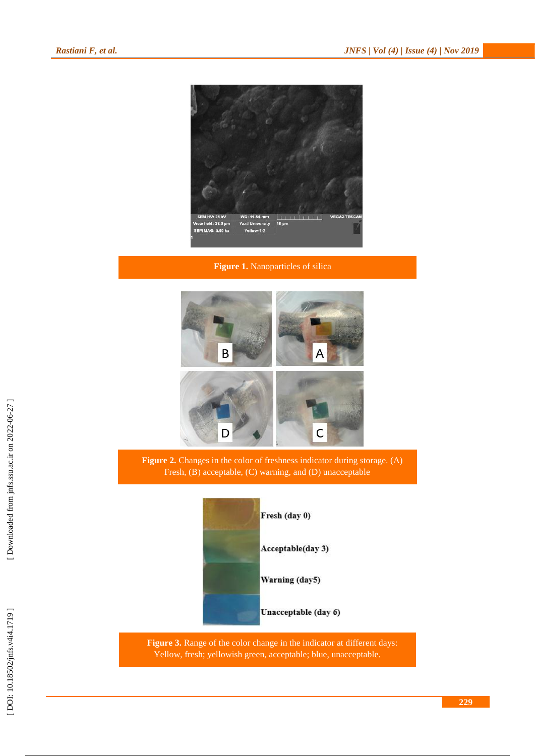

**Figure 1.** Nanoparticles of silica



Figure 2. Changes in the color of freshness indicator during storage. (A) Fresh, (B) acceptable, (C) warning, and (D) unacceptable



**Figure 3.** Range of the color change in the indicator at different days: Yellow, fresh; yellowish green, acceptable; blue, unacceptable.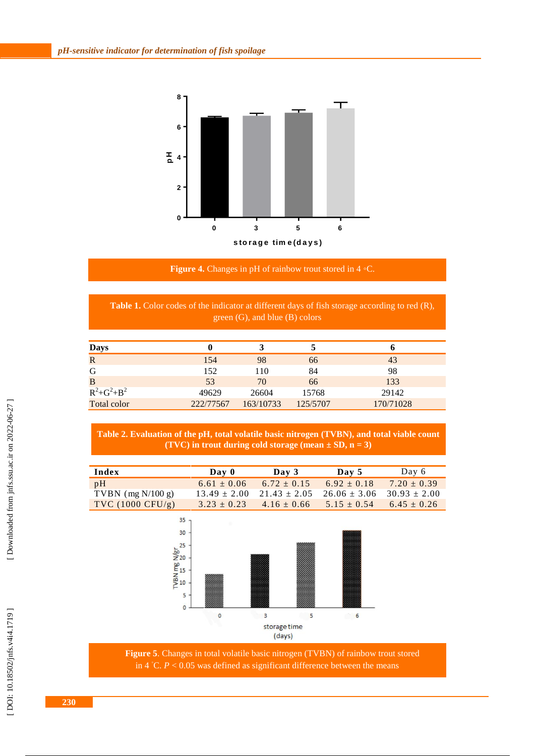

**Figure 4.** Changes in pH of rainbow trout stored in 4 ∘C.

Table 1. Color codes of the indicator at different days of fish storage according to red (R), green (G), and blue (B) colors

| <b>Days</b>       |           |           |          | o         |
|-------------------|-----------|-----------|----------|-----------|
| $\mathbf R$       | 154       | 98        | 66       | 43        |
| G                 | 152       | 110       | 84       | 98        |
|                   | 53        | 70        | 66       | 133       |
| $R^2 + G^2 + B^2$ | 49629     | 26604     | 15768    | 29142     |
| Total color       | 222/77567 | 163/10733 | 125/5707 | 170/71028 |

**Table 2. Evaluation of the pH, total volatile basic nitrogen (TVBN ), and total viable count (TVC) in trout during cold storage (mean ± SD, n = 3)**

| Index               | Day 0            | Day 3            | Day 5            | Day 6            |
|---------------------|------------------|------------------|------------------|------------------|
| pH                  | $6.61 \pm 0.06$  | $6.72 \pm 0.15$  | $6.92 \pm 0.18$  | $7.20 \pm 0.39$  |
| TVBN $(mg N/100 g)$ | $13.49 \pm 2.00$ | $21.43 \pm 2.05$ | $26.06 \pm 3.06$ | $30.93 \pm 2.00$ |
| $TVC$ (1000 CFU/g)  | $3.23 \pm 0.23$  | $4.16 \pm 0.66$  | $5.15 \pm 0.54$  | $6.45 \pm 0.26$  |



**Figure 5**. Changes in total volatile basic nitrogen (TVBN) of rainbow trout stored in 4 ◦C. *P*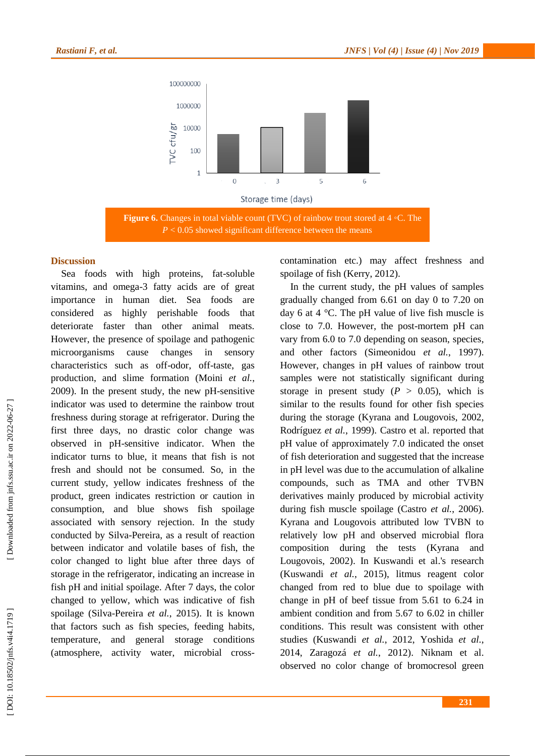

# **Discussion**

Sea foods with high proteins, fat -soluble vitamins, and omega -3 fatty acids are of great importance in human diet. Sea foods are considered as highly perishable foods that deteriorate faster than other animal meats. However, the presence of spoilage and pathogenic microorganisms cause changes in sensory characteristics such as off -odor, off-taste, gas production , and slime formation (Moini *et al.*, 2009) . In the present study, the new pH -sensitive indicator was used to determine the rainbow trout freshness during storage at refrigerator . During the first three days, no drastic color change was observed in pH -sensitive indicator. When the indicator turns to blue , it means that fish is not fresh and should not be consumed. So, in the current study, yellow indicates freshness of the product, green indicates restriction or caution in consumption, and blue shows fish spoilage associated with sensory rejection. In the study conducted by Silva -Pereira, as a result of reaction between indicator and volatile bases of fish, the color changed to light blue after three days of storage in the refrigerator, indicating an increase in fish pH and initial spoilage. After 7 days, the color changed to yellow , which was indicative of fish spoilage (Silva -Pereira *et al.*, 2015) . It is known that factors such as fish species, feeding habits, temperature , and general storage conditions (atmosphere, activity water, microbial cross -

contamination etc.) may affect freshness and spoilage of fish (Kerry, 2012) .

In the current study, the pH values of samples gradually changed from 6.61 on day 0 to 7.20 on day 6 at 4 °C. The pH value of live fish muscle is close to 7.0. However, the post -mortem pH can vary from 6.0 to 7.0 depending on season, species , and other factors (Simeonidou *et al.*, 1997) . However, changes in pH values of rainbow trout samples were not statistically significant during storage in present study ( $P > 0.05$ ), which is similar to the results found for other fish species during the storage (Kyrana and Lougovois, 2002, Rodríguez et al., 1999). Castro et al. reported that pH value of approximately 7.0 indicated the onset of fish deterioration and suggested that the increase in pH level was due to the accumulation of alkaline compounds , such as TMA and other TVBN derivatives mainly produced by microbial activity during fish muscle spoilage (Castro *et al.*, 2006) . Kyrana and Lougovois attributed low TVBN to relatively low pH and observed microbial flora composition during the tests (Kyrana and Lougovois, 2002). In Kuswandi et al.'s research (Kuswandi *et al.*, 2015), litmus reagent color changed from red to blue due to spoilage with change in pH of beef tissue from 5.61 to 6.24 in ambient condition and from 5.67 to 6.02 in chiller conditions. This result was consistent with other studies (Kuswandi *et al.*, 2012, Yoshida *et al.*, 2014, Zaragozá *et al.*, 2012). Niknam et al . observed no color change of bromocresol green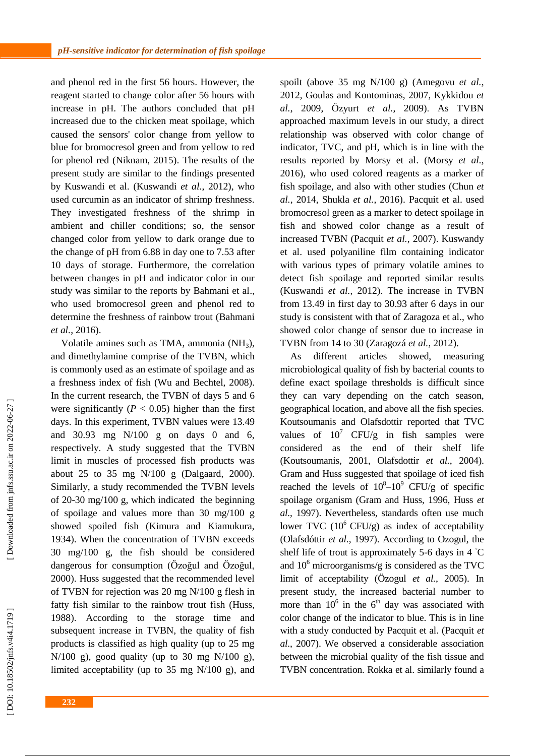and phenol red in the first 56 hours. However, the reagent started to change color after 56 hours with increase in pH. The authors concluded that pH increased due to the chicken meat spoilage , which caused the sensors' color change from yellow to blue for bromocresol green and from yellow to red for phenol red (Niknam, 2015). The results of the present study are similar to the findings presented by Kuswandi et al. (Kuswandi *et al.*, 2012), who used curcumin as an indicator of shrimp freshness. They investigated freshness of the shrimp in ambient and chiller conditions; so, the sensor changed color from yellow to dark orange due to the change of pH from 6.88 in day one to 7.53 after 10 days of storage. Furthermore, the correlation between changes in pH and indicator color in our study was similar to the reports by Bahmani et al., who used [bromocresol green](https://en.wikipedia.org/wiki/Bromocresol_green) and phenol red to determine the freshness of rainbow trout (Bahmani *et al.*, 2016).

Volatile amines such as TMA, ammonia (NH<sub>3</sub>), and dimethylamine comprise of the TVBN , which is commonly used as an estimate of spoilage and as a freshness index of fish (Wu and Bechtel, 2008). In the current research, the TVBN of days 5 and 6 were significantly ( $P < 0.05$ ) higher than the first day s. In this experiment, TVBN values were 13.49 and 30.93 mg N/100 g on days 0 and 6, respectively. A study suggested that the TVBN limit in muscles of processed fish products was about 25 to 35 mg N/100 g (Dalgaard, 2000). Similarly, a study recommended the TVBN levels of 20 -30 mg/100 g, which indicated the beginning of spoilage and values more than 30 mg/100 g showed spoiled fish (Kimura and Kiamukura, 1934). When the concentration of TVBN exceeds 30 mg/100 g, the fish should be considered dangerous for consumption (Özoğul and Özoğul, 2000) . Huss suggested that the recommended level of TVBN for rejection was 20 mg N/100 g flesh in fatty fish similar to the rainbow trout fish (Huss, 1988). According to the storage time and subsequent increase in TVBN, the quality of fish products is classified as high quality (up to 25 mg N/100 g), good quality (up to 30 mg N/100 g), limited acceptability (up to 35 mg N/100 g) , and spoilt (above 35 mg N/100 g) (Amegovu *et al.*, 2012, Goulas and Kontominas, 2007, Kykkidou *et al.*, 2009, Özyurt *et al.*, 2009) . As TVBN approached maximum levels in our study, a direct relationship was observed with color change of indicator, TVC , and pH, which is in line with the results reported by Morsy et al . (Morsy *et al.*, 2016 ) , who used colored reagents as a marker of fish spoilage, and also with other studies (Chun *et al.*, 2014, Shukla *et al.*, 2016). Pacquit et al . used bromocresol green as a marker to detect spoilage in fish and showed color change as a result of increased TVBN (Pacquit *et al.*, 2007). Kuswandy et al . used polyaniline film containing indicator with various types of primary volatile amines to detect fish spoilage and reported similar results (Kuswandi *et al.*, 2012). The increase in TVBN from 13.49 in first day to 30.93 after 6 days in our study is consistent with that of Zaragoza et al., who showed color change of sensor due to increase in TVBN from 14 to 30 (Zaragozá *et al.*, 2012) .

As different articles showed, measuring microbiological quality of fish by bacterial counts to define exact spoilage thresholds is difficult since they can vary depending on the catch season, geographical location , and above all the fish species. Koutsoumanis and Olafsdottir reported that TVC values of  $10^7$  CFU/g in fish samples were considered as the end of their shelf life (Koutsoumanis, 2001, Olafsdottir *et al.*, 2004). Gram and Huss suggested that spoilage of iced fish reached the levels of  $10^8 - 10^9$  CFU/g of specific spoilage organism (Gram and Huss, 1996, Huss *et al.*, 1997). Nevertheless, standards often use much lower TVC  $(10^6$  CFU/g) as index of acceptability (Olafsdóttir *et al.*, 1997). According to Ozogul, the shelf life of trout is approximately 5-6 days in 4 °C and 10 <sup>6</sup> microorganisms/g is considered as the TVC limit of acceptability (Özogul *et al.*, 2005) . In present study, the increased bacterial number to more than  $10^6$  in the  $6^{\text{th}}$  day was associated with color change of the indicator to blue. This is in line with a study conducted by Pacquit et al . (Pacquit *et al.*, 2007). We observed a considerable association between the microbial quality of the fish tissue and TVBN concentration. Rokka et al . similarly found a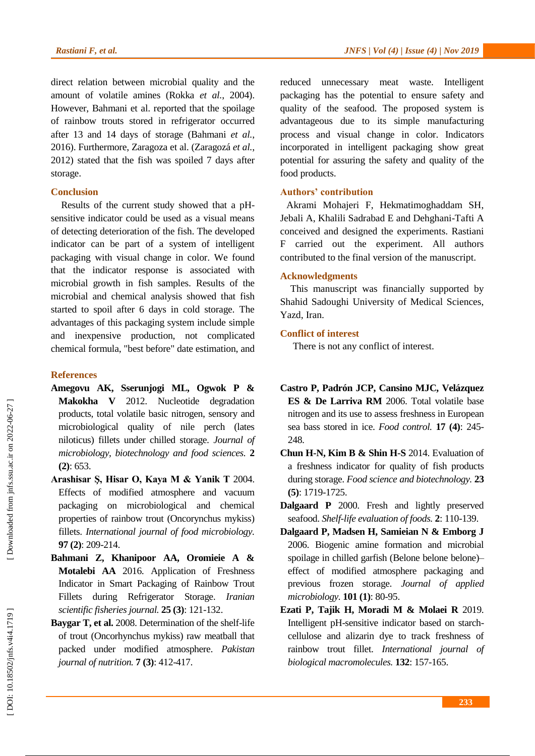direct relation between microbial quality and the amount of volatile amines (Rokka *et al.*, 2004). However, Bahmani et al . reported that the spoilage of rainbow trouts stored in refrigerator occurred after 13 and 14 days of storage (Bahmani *et al.*, 2016). Furthermore, Zaragoza et al . (Zaragozá *et al.*, 2012) stated that the fish was spoiled 7 days after storage.

# **Conclusion**

Results of the current study showed that a pH sensitive indicator could be used as a visual means of detecting deterioration of the fish. The developed indicator can be part of a system of intelligent packaging with visual change in color. We found that the indicator response is associated with microbial growth in fish samples. Results of the microbial and chemical analysis showed that fish started to spoil after 6 days in cold storage. The advantages of this packaging system include simple and inexpensive production, not complicated chemical formula, "best before" date estimation, and

# **References**

- **Amegovu AK, Sserunjogi ML, Ogwok P & Makokha V** 2012. Nucleotide degradation products, total volatile basic nitrogen, sensory and microbiological quality of nile perch (lates niloticus) fillets under chilled storage. *Journal of microbiology, biotechnology and food sciences.* **2 (2)**: 653.
- **Arashisar Ş, Hisar O, Kaya M & Yanik T** 2004. Effects of modified atmosphere and vacuum packaging on microbiological and chemical properties of rainbow trout (Oncorynchus mykiss) fillets. *International journal of food microbiology.* **97 (2)**: 209 -214.
- **Bahmani Z, Khanipoor AA, Oromieie A & Motalebi AA** 2016. Application of Freshness Indicator in Smart Packaging of Rainbow Trout Fillets during Refrigerator Storage. *Iranian scientific fisheries journal.* **25 (3)**: 121 -132.
- **Baygar T, et al.** 2008. Determination of the shelf-life of trout (Oncorhynchus mykiss) raw meatball that packed under modified atmosphere. *Pakistan journal of nutrition.* **7 (3)**: 412 -417.

reduce d unnecessary meat waste. Intelligent packaging has the potential to ensure safety and quality of the seafood. The proposed system is advantageous due to its simple manufacturing process and visual change in color. Indicators incorporated in intelligent packaging show great potential for assuring the safety and quality of the food products .

# **Authors' contribution**

Akrami Mohajeri F, Hekmatimoghaddam SH, Jebali A, Khalili Sadrabad E and Dehghani -Tafti A conceived and designed the experiments. Rastiani F carried out the experiment. All authors contributed to the final version of the manuscript.

# **Acknowledgments**

This manuscript was financially supported by Shahid Sadoughi University of Medical Sciences, Yazd, Iran.

# **Conflict of interest**

There is not any conflict of interest.

- **Castro P, Padrón JCP, Cansino MJC, Velázquez ES & De Larriva RM** 2006. Total volatile base nitrogen and its use to assess freshness in European sea bass stored in ice. *Food control.* **17 (4)**: 245 - 248.
- **Chun H -N, Kim B & Shin H -S** 2014. Evaluation of a freshness indicator for quality of fish products during storage. *Food science and biotechnology.* **23 (5)**: 1719 -1725.
- **Dalgaard P** 2000. Fresh and lightly preserved seafood. *Shelf-life evaluation of foods.* **2**: 110 -139.
- **Dalgaard P, Madsen H, Samieian N & Emborg J**  2006. Biogenic amine formation and microbial spoilage in chilled garfish (Belone belone belone) – effect of modified atmosphere packaging and previous frozen storage. *Journal of applied microbiology.* **101 (1)**: 80 -95.
- **Ezati P, Tajik H, Moradi M & Molaei R** 2019. Intelligent pH -sensitive indicator based on starch cellulose and alizarin dye to track freshness of rainbow trout fillet. *International journal of biological macromolecules.* **132**: 157 -165.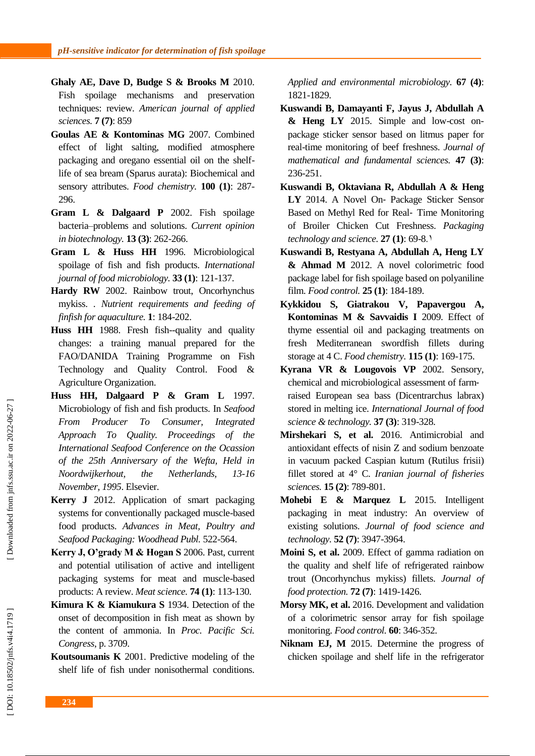- **Ghaly AE, Dave D, Budge S & Brooks M** 2010. Fish spoilage mechanisms and preservation techniques: review. *American journal of applied sciences.* **7 (7)**: 859
- **Goulas AE & Kontominas MG** 2007. Combined effect of light salting, modified atmosphere packaging and oregano essential oil on the shelflife of sea bream (Sparus aurata): Biochemical and sensory attributes. *Food chemistry.* **100 (1)**: 287 - 296.
- **Gram L & Dalgaard P** 2002. Fish spoilage bacteria–problems and solutions. *Current opinion in biotechnology.* **13 (3)**: 262 -266.
- **Gram L & Huss HH** 1996. Microbiological spoilage of fish and fish products. *International journal of food microbiology.* **33 (1)**: 121 -137.
- **Hardy RW** 2002. Rainbow trout, Oncorhynchus mykiss. . *Nutrient requirements and feeding of finfish for aquaculture.* **1**: 184 -202.
- **Huss HH** 1988. Fresh fish--quality and quality changes: a training manual prepared for the FAO/DANIDA Training Programme on Fish Technology and Quality Control. Food & Agriculture Organization.
- **Huss HH, Dalgaard P & Gram L** 1997. Microbiology of fish and fish products. In *Seafood From Producer To Consumer, Integrated Approach To Quality. Proceedings of the International Seafood Conference on the Ocassion of the 25th Anniversary of the Wefta, Held in Noordwijkerhout, the Netherlands, -16 November, 1995*. Elsevier.
- **Kerry J** 2012. Application of smart packaging systems for conventionally packaged muscle -based food products. *Advances in Meat, Poultry and Seafood Packaging: Woodhead Publ.* 522 -564.
- **Kerry J, O'grady M & Hogan S** 2006. Past, current and potential utilisation of active and intelligent packaging systems for meat and muscle -based products: A review. *Meat science.* **74 (1)**: 113 -130.
- **Kimura K & Kiamukura S** 1934. Detection of the onset of decomposition in fish meat as shown by the content of ammonia. In *Proc. Pacific Sci. Congress*, p. 3709.
- **Koutsoumanis K** 2001. Predictive modeling of the shelf life of fish under nonisothermal conditions.

*Applied and environmental microbiology.* **67 (4)**: 1821 -1829.

- **Kuswandi B, Damayanti F, Jayus J, Abdullah A**  & Heng LY 2015. Simple and low-cost onpackage sticker sensor based on litmus paper for real -time monitoring of beef freshness. *Journal of mathematical and fundamental sciences.* **47 (3)**: 236 -251.
- **Kuswandi B, Oktaviana R, Abdullah A & Heng LY** 2014. A Novel On‐ Package Sticker Sensor Based on Methyl Red for Real ‐ Time Monitoring of Broiler Chicken Cut Freshness. *Packaging technology and science.* **27 (1)**: 69 - 8 . 1
- **Kuswandi B, Restyana A, Abdullah A, Heng LY & Ahmad M** 2012. A novel colorimetric food package label for fish spoilage based on polyaniline film. *Food control.* **25 (1)**: 184 -189.
- **Kykkidou S, Giatrakou V, Papavergou A, Kontominas M & Savvaidis I** 2009. Effect of thyme essential oil and packaging treatments on fresh Mediterranean swordfish fillets during storage at 4 C. *Food chemistry.* **115 (1)**: 169 -175.
- **Kyrana VR & Lougovois VP** 2002. Sensory, chemical and microbiological assessment of farm ‐ raised European sea bass (Dicentrarchus labrax) stored in melting ice. *International Journal of food science & technology.* **37 (3)**: 319 -328.
- **Mirshekari S, et al.** 2016. Antimicrobial and antioxidant effects of nisin Z and sodium benzoate in vacuum packed Caspian kutum (Rutilus frisii) fillet stored at 4° C. *Iranian journal of fisheries sciences.* **15 (2)**: 789 -801.
- **Mohebi E & Marquez L** 2015. Intelligent packaging in meat industry: An overview of existing solutions. *Journal of food science and technology.* **52 (7)**: 3947 -3964.
- **Moini S, et al.** 2009. Effect of gamma radiation on the quality and shelf life of refrigerated rainbow trout (Oncorhynchus mykiss) fillets. *Journal of food protection.* **72 (7)**: 1419 -1426.
- **Morsy MK, et al.** 2016. Development and validation of a colorimetric sensor array for fish spoilage monitoring. *Food control.* **60**: 346 -352.
- **Niknam EJ, M** 2015. Determine the progress of chicken spoilage and shelf life in the refrigerator